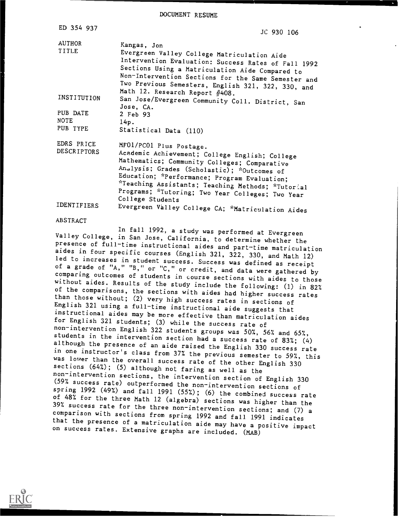DOCUMENT RESUME

| ED 354 937                          | JC 930 106                                                                                                                                                                                                                                                                                                                                            |
|-------------------------------------|-------------------------------------------------------------------------------------------------------------------------------------------------------------------------------------------------------------------------------------------------------------------------------------------------------------------------------------------------------|
| <b>AUTHOR</b><br>TITLE              | Kangas, Jon<br>Evergreen Valley College Matriculation Aide<br>Intervention Evaluation: Success Rates of Fall 1992<br>Sections Using a Matriculation Aide Compared to<br>Non-Intervention Sections for the Same Semester and<br>Two Previous Semesters, English 321, 322, 330, and                                                                     |
| INSTITUTION                         | Math 12. Research Report #408.<br>San Jose/Evergreen Community Coll. District, San<br>Jose, CA.                                                                                                                                                                                                                                                       |
| PUB DATE<br><b>NOTE</b><br>PUB TYPE | 2 Feb 93<br>14p.<br>Statistical Data (110)                                                                                                                                                                                                                                                                                                            |
| EDRS PRICE<br><b>DESCRIPTORS</b>    | MF01/PC01 Plus Postage.<br>Academic Achievement; College English; College<br>Mathematics; Community Colleges; Comparative<br>Analysis; Grades (Scholastic); *Outcomes of<br>Education; *Performance; Program Evaluation;<br>*Teaching Assistants; Teaching Methods; *Tutorial<br>Programs; *Tutoring; Two Year Colleges; Two Year<br>College Students |
| IDENTIFIERS                         | Evergreen Valley College CA; *Matriculation Aides                                                                                                                                                                                                                                                                                                     |

### ABSTRACT

In fall 1992, a study was performed at Evergreen<br>Valley College, in San Jose, California, to determine whether the presence of full-time instructional aides and part-time matriculation<br>aides in four specific courses (English 321, 322, 330, and Math 12)<br>led to increases in student success. Success was defined as receipt<br>of a grade of "A students in the intervention section had a success rate of 83%; (4)<br>although the presence of an aide raised the English 330 success rate<br>in one instructor's class from 37% the previous semester to 59%, this<br>was lower than (59% success rate) outperformed the non-intervention sections of<br>spring 1992 (49%) and fall 1991 (55%); (6) the combined success rate<br>of 48% for the three Math 12 (algebra) sections was higher than the<br>39% success rate fo

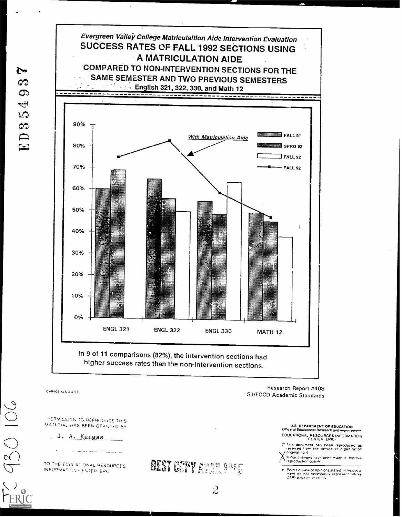

CVR408 XLS 3 4 93

PERMILSION TO REPRODUCE THIS MATERIAL HAS BEEN GRANTED BY

and the the company of the company of the

TO THE EDIX AT ONAL RESOURCES. INFORMATION CENTER ERIC



 $\overline{c}$ 

Research Report #408 SJ/ECCD Academic Standards

> U.S. DEPARTMENT OF EDUCATION<br>Office of Educational Research and improvement EDUCATIONAL RESOURCES INFORMATION

> This document has been reproduced as<br>-received from the person or organization z originating it

> Minor changes have been made to improve

el Points of view or opinions stated in this docu<br>- mentil do inot inecessarily izepresent influrar<br>- QERI position or policy

N

ය

 $\boldsymbol{\sigma}$ 

 $\Rightarrow$  $\Omega$ 

ED3

J. A. Kangas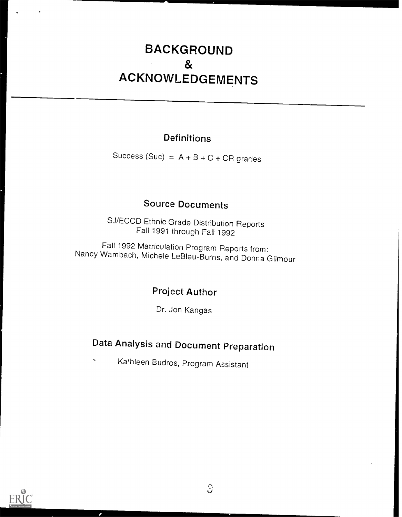## BACKGROUND & ACKNOWLEDGEMENTS

### Definitions

Success (Suc) =  $A + B + C + CR$  grades

### Source Documents

SJ/ECCD Ethnic Grade Distribution Reports Fall 1991 through Fall 1992

Fall 1992 Matriculation Program Reports from: Nancy Wambach, Michele LeBleu-Burns, and Donna Gihour

### Project Author

Dr. Jon Kangas

## Data Analysis and Document Preparation

Ka'hleen Budros, Program AssistantN

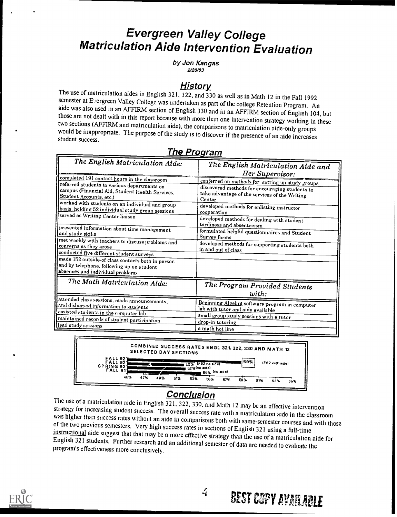## Evergreen Valley College Matriculation Aide Intervention Evaluation

by Jon Kangas 2V28/93

History<br>The use of matriculation aides in English 321, 322, and 330 as well as in Math 12 in the Fall 1992 semester at Evergreen Valley College was undertaken as part of the college Retention Program. An aide was also used in an AFFIRM section of English 330 and in an AFFIRM section of English 104, but those are not dealt with

| The English Matriculation Aide:                                                                                                                                                                                                                                                                                                                                                                                                                                                                                                                                                                                                                          | The English Matriculation Aide and<br>Her Supervisor:                                                                                                                                                                                                                                                                                                                                                                                           |
|----------------------------------------------------------------------------------------------------------------------------------------------------------------------------------------------------------------------------------------------------------------------------------------------------------------------------------------------------------------------------------------------------------------------------------------------------------------------------------------------------------------------------------------------------------------------------------------------------------------------------------------------------------|-------------------------------------------------------------------------------------------------------------------------------------------------------------------------------------------------------------------------------------------------------------------------------------------------------------------------------------------------------------------------------------------------------------------------------------------------|
| completed 191 contact hours in the classroom<br>referred students to various departments on<br>campus (Financial Aid, Student Health Services,<br>Student Accounts, etc.)<br>worked with students on an individual and group<br>basis, holding 52 individual study group sessions<br>served as Writing Center liaison<br>presented information about time management<br>and study skills<br>met weekly with teachers to discuss problems and<br>concerns as they arose<br>conducted five different student surveys<br>made 152 outside of class contacts both in person<br>and by telephone, following up on student<br>absences and individual problems | conferred on methods for setting up study groups<br>discovered methods for encouraging students to<br>take advantage of the services of the Writing<br>Center<br>developed methods for enlisting instructor<br>cooperation<br>developed methods for dealing with student<br>tardiness and absenteeism<br>formulated helpful questionnaires and Student<br>Survey forms<br>developed methods for supporting students both<br>in and out of class |
| The Math Matriculation Aide:                                                                                                                                                                                                                                                                                                                                                                                                                                                                                                                                                                                                                             | The Program Provided Students<br>with:                                                                                                                                                                                                                                                                                                                                                                                                          |
| attended class sessions, made announcements,<br>and disbursed information <u>to students</u><br>assisted students in the computer lab<br>maintained records of student participation<br>lead study sessions                                                                                                                                                                                                                                                                                                                                                                                                                                              | Beginning Algebra software program in computer<br>lab with tutor and aide available<br>small group study sessions with a tutor<br>drop-in tutoring<br>a math hot line                                                                                                                                                                                                                                                                           |

### The Program



Conclusion<br>The use of a matriculation aide in English 321, 322, 330, and Math 12 may be an effective intervention strategy for increasing student success. The overall success rate with a matriculation aide in the classroom<br>was higher than success rates without an aide in comparisons both with same-semester courses and with those<br>of th



**BEST COPY AVAILABLE**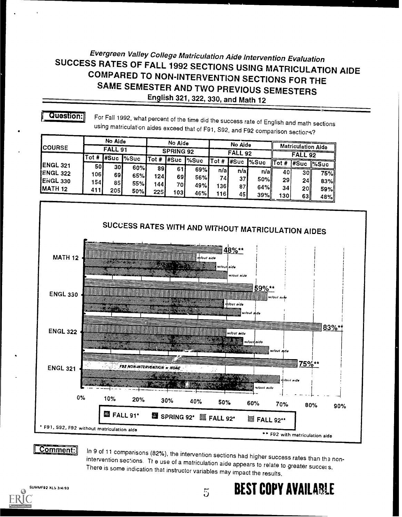### Evergreen Valley College Matriculation Aide Intervention Evaluation SUCCESS RATES OF FALL 1992 SECTIONS USING MATRICULATION AIDE COMPARED TO NON-INTERVENTION SECTIONS FOR THE SAME SEMESTER AND TWO PREVIOUS SEMESTERS English 321, 322, 330, and Math 12

### **Question:**

For Fall 1992, what percent of the time did the success rate of English and math sections using matriculation aides exceed that of F91, S92, and F92 comparison sections?

|                    |      | No Aide |       |      | No Aide          |            |      | No Aide |               |                        |                |                    |
|--------------------|------|---------|-------|------|------------------|------------|------|---------|---------------|------------------------|----------------|--------------------|
| <b>ICOURSE</b>     |      | FALL 91 |       |      | <b>SPRING 92</b> |            |      | FALL92  |               |                        |                | Matriculation Aide |
|                    | Tot# | ∦Suc    | l%Suc |      | ITot #  #Suc     | $\sim$ Suc |      |         |               |                        | <b>FALL 92</b> |                    |
| <b>IENGL 321</b>   | 50I  | 301     |       |      |                  |            | Tot# | ∦Suc    | $\frac{8}{3}$ | $\sqrt{\text{Tot } H}$ |                | #Suc %Suc          |
| <b>ENGL 322</b>    |      |         | 60%I  | 891  | 61               | 69%l       | n/a  | n/a     | n/a           | 40                     | 30II           | 75% <u> </u>       |
|                    | 1061 | 69.     | 65%l  | 1241 | 691              | 56%l       | 74i  | 37      | 50%ll         | 29                     |                |                    |
| ENGL 330           | 154. | 85      | 55%l  | 1441 | 70 I             | 49%        | 1361 | 87      |               |                        | <b>24</b>      | 83%                |
| MATH <sub>12</sub> | 411  | 2051    | 50%I  | 2251 | 1031             |            |      |         | 64%ll         | 34                     | 201            | 59%                |
|                    |      |         |       |      |                  | 46%l       | 116  | 45 I    | 39%           | 1301                   | 63             | 48%                |



### Comment:

In 9 of 11 comparisons (82%), the intervention sections had higher success rates than the nonintervention sections. The use of a matriculation aide appears to relate to greater success. There is some indication that instructor variables may impact the results.

 $\overline{5}$ 

**BEST COPY AVAILABLE** 

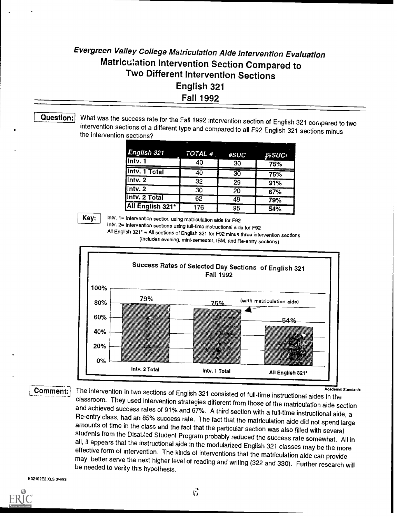## Evergreen Valley College Matriculation Aide Intervention Evaluation Matriculation Intervention Section Compared to Two Different Intervention Sections English 321 Fall 1992

Question: What was the success rate for the Fall 1992 intervention section of English 321 con pared to two intervention sections of a different type and compared to all F92 English 321 sections minus the intervention sections?

| <b>English 321</b> | TOTAL #         | #SUC | %SUC∙ |
|--------------------|-----------------|------|-------|
| Intv. 1            | 40              | 30   | 75%   |
| lintv. 1 Total     | $\overline{40}$ | 30   | 75%   |
| Intro. 2           | 32              | 29   | 91%   |
| $\sqrt{\ln 2}$     | 30              | 20   | 67%   |
| lintv. 2 Total     | 62              | 49   | 79%   |
| All English 321*   | 176             | 95   | 54%   |

Key:

Intv. 1= Intervention sectior. using matriculation aide for F92

Intv. 2= Intervention sections using full-time instructional aide for F92

All English 321' = All sections of English 321 for F92 minus three intervention sections (Includes evening, minisemester, IBM, and Re-entry sections)



Comment: The intervention in two sections of English 321 consisted of full-time instructional aides in the The intervention in two sections of English 321 consisted of full-time instructional aides in the<br>classroom. They used intervention strategies different from those of the matriculation aide section<br>and achieved success rat

### E32192E2.XLS 3/4/93

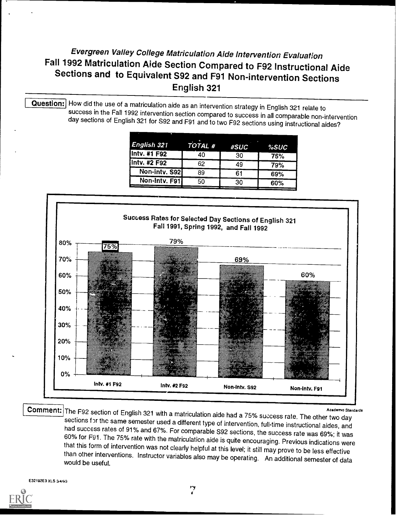### Evergreen Valley College Matriculation Aide Intervention Evaluation Fall 1992 Matriculation Aide Section Compared to F92 Instructional Aide Sections and to Equivalent S92 and F91 Non-intervention Sections English 321

Question: How did the use of a matriculation aide as an intervention strategy in English 321 relate to success in the Fall 1992 intervention section compared to success in all comparable non-intervention day sections of English 321 for S92 and F91 and to two F92 sections using instructional aides?

| English 321   | TOTAL <sup>#</sup> | #SUC | %SUC |
|---------------|--------------------|------|------|
| Intv. #1 F92  | 40                 | 30   | 75%  |
| Intv. #2 F92  | 62                 | 49   | 79%  |
| Non-intv. S92 | 89                 | 61   | 69%  |
| Non-Intv. F91 | 50                 | 30   | 60%  |



**Academic Standards** 

Comment: The F92 section of English 321 with a matriculation aide had a 75% success rate. The other two day sections for the same semester used a different type of intervention, full-time instructional aides, and had success rates of 91% and 67%. For comparable S92 sections, the success rate was 69%; it was 60% for F91. The 75% rate with the matriculation aide is quite encouraging. Previous indications were that this form of intervention was not clearly helpful at this level; it still may prove to be less effective than other interventions. Instructor variables also may be operating. An additional semester of data would be useful.

E32192E3 XLS 3/4/63

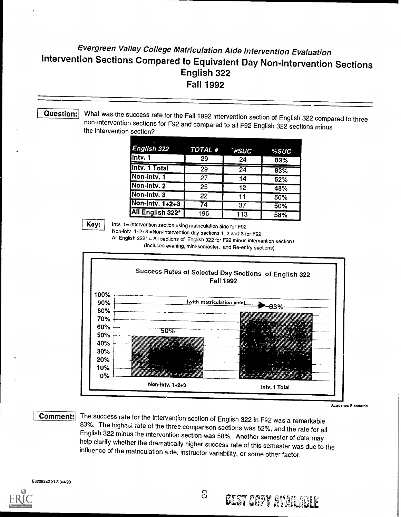### Evergreen Valley College Matriculation Aide Intervention Evaluation Intervention Sections Compared to Equivalent Day Non-intervention Sections English 322 Fall 1992

### Question:

What was the success rate for the Fall 1992 intervention section of English 322 compared to three non-intervention sections for F92 and compared to all F92 English 322 sections minus the intervention section?

| English 322                   | $TOTAL$ # | *#SUC           | %SUC |
|-------------------------------|-----------|-----------------|------|
| Intv. $\overline{\mathbf{1}}$ | 29        | 24              | 83%  |
| Intv. 1 Total                 | 29        | $\overline{24}$ | 83%  |
| Non-intv. 1                   | 27        | 14              | 52%  |
| Non-intv. 2                   | 25        | 12              | 48%  |
| Non-intv. 3                   | 22        | 11              | 50%  |
| Non-Intv. 1+2+3               | 74        | 37              | 50%  |
| All English 322*              | 196       | 113             | 58%  |

Key:

latv. 1= Intervention section using matriculation aide for F92

Non-intv. 1+2+3 =Non-intervention day sections 1.2 and 3 for F92 All English 322' All sections of English 322 for F92 minus intervention sections

(Includes evening, mini-semester, and Re-entry sections)



Academic Standards

**Comment:** The success rate for the intervention section of English 322 in F92 was a remarkable 83%. The highesi rate of the three comparison sections was 52%, and the rate for all English 322 minus the intervention section was 58%. Another semester of data may help clarify whether the dramatically higher success rate of this semester was due to the influence of the matriculation aide, instructor var

E32292E2 XLS 3/4/93



**GEST COPY AVAILABLE**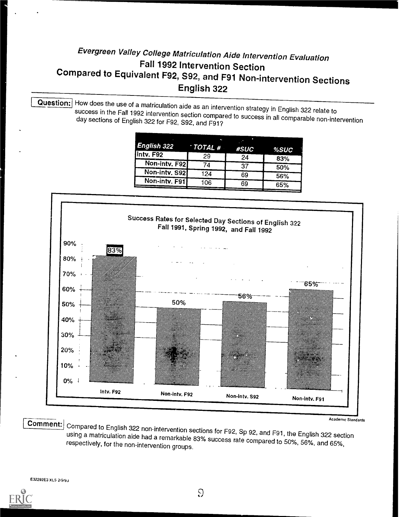## Evergreen Valley College Matriculation Aide Intervention Evaluation Compared to Equivalent F92, S92, and F91 Non-intervention Sections English 322

Question: How does the use of a matriculation aide as an intervention strategy in English 322 relate to<br>success in the Fall 1992 intervention section compared to success in all comparable non-intervention<br>day sections of E

|               |                                  | п    |      |
|---------------|----------------------------------|------|------|
| English 322   | $\overline{\phantom{a}}$ TOTAL # | #SUC | %SUC |
| lintv. F92    | 29                               | 24   | 83%  |
| Non-intv. F92 | 74                               | 37   | 50%  |
| Non-intv. S92 | 124                              | 69   | 56%  |
| Non-intv. F91 | 106                              | 69   | 65%  |
|               |                                  |      |      |



Ecomment: Compared to English 322 non-intervention sections for F92, Sp 92, and F91, the English 322 section<br>using a matriculation aide had a remarkable 83% success rate compared to 50%, 56%, and 65%,<br>respectively, for the

E32292E3 XLS 2/9/94

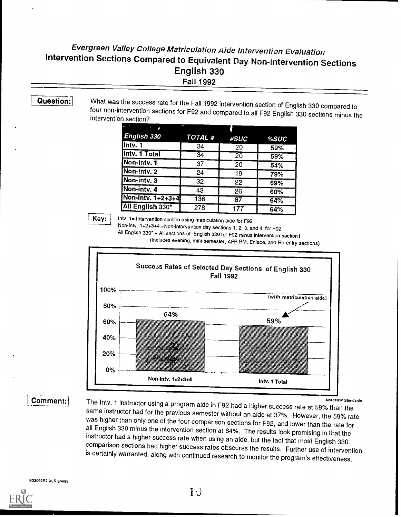### Evergreen Valley College Matriculation Aide Intervention Evaluation Intervention Sections Compared to Equivalent Day Non-intervention Sections English 330 Fall 1992

Question: What was the success rate for the Fall 1992 intervention section of English 330 compared to four non-intervention sections for F92 and compared to all F92 English 330 sections minus the intervention section?

| $\cdot$            |                 |      |      |
|--------------------|-----------------|------|------|
| <b>English 330</b> | TOTAL #         | #SUC | %SUC |
| Intv. 1            | 34              | 20   | 59%  |
| Intv. 1 Total      | $\overline{34}$ | 20   | 59%  |
| Non-intv. 1        | 37              | 20   | 54%  |
| Non-intv. 2        | 24              | 19   | 79%  |
| Non-intv. 3        | 32              | 22   | 69%  |
| Non-intv. 4        | 43              | 26   | 60%  |
| Non-intv. 1+2+3+4  | 136             | 87   | 64%  |
| All English 330*   | 278             | 177  | 64%  |

**Key:** Intv. 1= Intervention section using matriculation aide for F92

Non-intv. 1+2+3+4 =Non-intervention day sections 1, 2, 3, and 4 for F92

All English 330\* = All sections of English 330 for F92 minus intervention section1

(Includes evening, mini-semester, AFFIRM, Enlace, and Re-entry sections)



The Intv. 1 instructor using a program aide in F92 had a higher success rate at 59% than the<br>same instructor had for the previous semester without an aide at 37%. However, the 59% rate<br>was higher than only one of the four is certainly warranted, along with continued research to monitor the program's effectiveness.

E33092E2.XLS 3/4/93

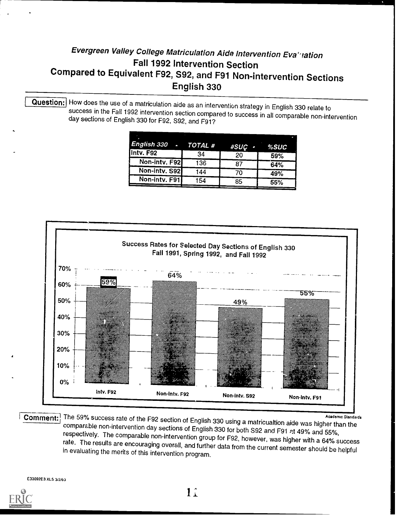## Evergreen Valley College Matriculation Aide Intervention Evatrich<br>Fall 1992 Intervention Section Compared to Equivalent F92, S92, and F91 Non-intervention Sections English 330

Question: How does the use of a matriculation aide as an intervention strategy in English 330 relate to<br>success in the Fall 1992 intervention section compared to success in all comparable non-intervention<br>day sections of E

|               |     | #SUÇ - | %SUC |
|---------------|-----|--------|------|
| Intv. F92     | 34  | 20     | 59%  |
| Non-intv. F92 | 136 | 87     | 64%  |
| Non-intv. S92 | 144 | 70     | 49%  |
| Non-intv. F91 | 154 | 85     | 55%  |



Comment: The 59% success rate of the F92 section of English 330 using a matricualtion aide was higher than the<br>comparable non-intervention day sections of English 330 for both S92 and F91 at 49% and 55%,<br>respectively. The

E33092E3 XLS 3/2/93

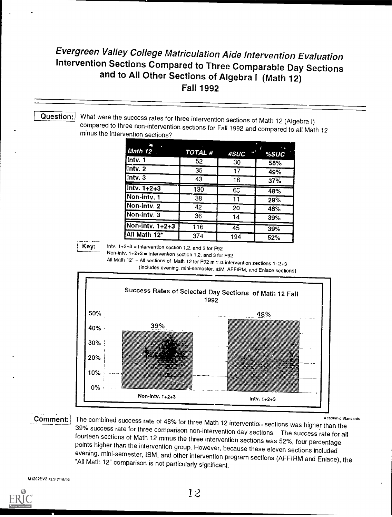# Evergreen Valley College Matriculation Aide Intervention Evaluation<br>Intervention Sections Compared to Three Comparable Day Sections<br>and to All Other Sections of Algebra I (Math 12) Fall 1992

Question; What were the success rates for three intervention sections of Math 12 (Algebra I)<br>compared to three non-intervention sections for Fall 1992 and compared to all Math 12<br>minus the intervention sections?

| $Math 12$ .     | TOTAL <sup>#</sup> | #SUC            | % SUC |
|-----------------|--------------------|-----------------|-------|
| Intv. 1         | 52                 | 30              | 58%   |
| $ln$ tv. 2      | 35                 | 17              | 49%   |
| Intv. 3         | 43                 | 16              | 37%   |
| $Intv. 1+2+3$   | 130                | 65              | 48%   |
| Non-intv, 1     | 38                 | 11              | 29%   |
| Non-intv. 2     | 42                 | 20              | 48%   |
| Non-intv. 3     | 36                 | 14              | 39%   |
| Non-intv. 1+2+3 | 116                | $\overline{45}$ | 39%   |
| All Math 12*    | 374                | 194             | 52%   |

Key:

Intv.  $1+2+3$  = Intervention section 1,2, and 3 for F92

Non -into. 1+2+3 = Intervention section 1,2, and 3 for F92

All Math 12<sup>\*</sup> = All sections of Math 12 for F92 minus intervention sections  $1+2+3$ 

(Includes evening, mini-semester, IBM, AFFIRM, and Enlace sections)



Academic Standards Incombined success rate of 48% for three Math 12 interventioil sections was higher than the<br>39% success rate for three comparison non-intervention day sections. The success rate for all fourteen sections of Math 12 minus the three intervention sections was 52%, four percentage points higher than the intervention group. However, because these eleven sections included evening, mini-semester, IBM, and other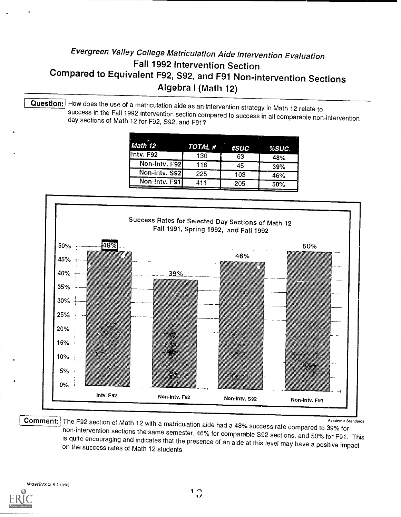### Evergreen Valley College Matriculation Aide Intervention Evaluation Fall 1992 Intervention Section Compared to Equivalent F92, S92, and F91 Non-intervention Sections Algebra I (Math 12)

Question: How does the use of a matriculation aide as an intervention strategy in Math 12 relate to<br>success in the Fall 1992 intervention section compared to success in all comparable non-intervention<br>day sections of Math

|                      |     | %SUC        |
|----------------------|-----|-------------|
| 130                  | 63  | 48%         |
| Non-intv. F92<br>116 | 45  | 39%         |
| Non-intv. S92<br>225 | 103 | 46%         |
| Non-intv. F91<br>411 | 205 | 50%         |
|                      |     | TOTAL ##SUC |



Comment: The F92 section of Math 12 with a matriculation aide had a 48% success rate compared to 39% for<br>non-intervention sections the same semester, 46% for comparable S92 sections, and 50% for F91. This<br>is quite encourag